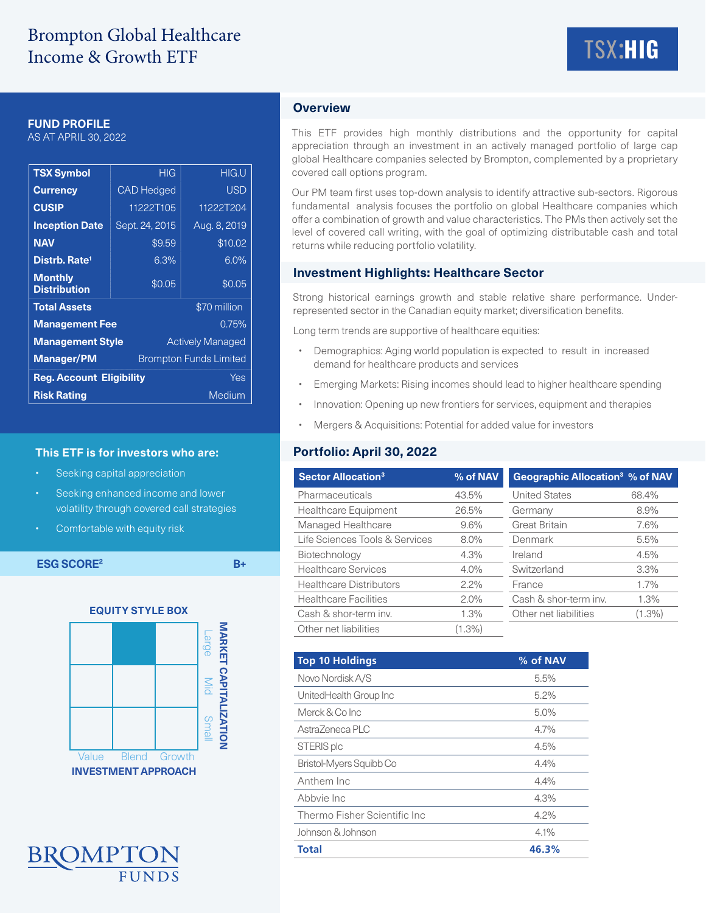### **FUND PROFILE**

AS AT APRIL 30, 2022

| <b>TSX Symbol</b>                                  | HIG               |  | <b>HIG.U</b> |  |
|----------------------------------------------------|-------------------|--|--------------|--|
| <b>Currency</b>                                    | <b>CAD Hedged</b> |  | <b>USD</b>   |  |
| <b>CUSIP</b>                                       | 11222T105         |  | 11222T204    |  |
| <b>Inception Date</b>                              | Sept. 24, 2015    |  | Aug. 8, 2019 |  |
| <b>NAV</b>                                         | \$9.59            |  | \$10.02      |  |
| Distrb. Rate <sup>1</sup>                          | 6.3%              |  | 6.0%         |  |
| <b>Monthly</b><br><b>Distribution</b>              | \$0.05            |  | \$0.05       |  |
| \$70 million<br><b>Total Assets</b>                |                   |  |              |  |
| <b>Management Fee</b><br>0.75%                     |                   |  |              |  |
| <b>Management Style</b><br><b>Actively Managed</b> |                   |  |              |  |
| <b>Manager/PM</b><br><b>Brompton Funds Limited</b> |                   |  |              |  |
| <b>Reg. Account Eligibility</b><br>Yes             |                   |  |              |  |
| <b>Risk Rating</b>                                 |                   |  | Medium       |  |

#### **This ETF is for investors who are:**

- Seeking capital appreciation
- Seeking enhanced income and lower volatility through covered call strategies
- Comfortable with equity risk

**ESG SCORE<sup>2</sup>** B+





# **Overview**

This ETF provides high monthly distributions and the opportunity for capital appreciation through an investment in an actively managed portfolio of large cap global Healthcare companies selected by Brompton, complemented by a proprietary covered call options program.

Our PM team first uses top-down analysis to identify attractive sub-sectors. Rigorous fundamental analysis focuses the portfolio on global Healthcare companies which offer a combination of growth and value characteristics. The PMs then actively set the level of covered call writing, with the goal of optimizing distributable cash and total returns while reducing portfolio volatility.

### **Investment Highlights: Healthcare Sector**

Strong historical earnings growth and stable relative share performance. Underrepresented sector in the Canadian equity market; diversification benefits.

Long term trends are supportive of healthcare equities:

- Demographics: Aging world population is expected to result in increased demand for healthcare products and services
- Emerging Markets: Rising incomes should lead to higher healthcare spending
- Innovation: Opening up new frontiers for services, equipment and therapies
- Mergers & Acquisitions: Potential for added value for investors

## **Portfolio: April 30, 2022**

| <b>Sector Allocation<sup>3</sup></b> | % of NAV  | Geographic Allocation <sup>3</sup> % of NAV |           |
|--------------------------------------|-----------|---------------------------------------------|-----------|
| Pharmaceuticals                      | 43.5%     | <b>United States</b>                        | 68.4%     |
| <b>Healthcare Equipment</b>          | 26.5%     | Germany                                     | 8.9%      |
| Managed Healthcare                   | 9.6%      | <b>Great Britain</b>                        | 7.6%      |
| Life Sciences Tools & Services       | $8.0\%$   | Denmark                                     | 5.5%      |
| Biotechnology                        | 4.3%      | Ireland                                     | 4.5%      |
| <b>Healthcare Services</b>           | $4.0\%$   | Switzerland                                 | 3.3%      |
| <b>Healthcare Distributors</b>       | $2.2\%$   | France                                      | 1.7%      |
| <b>Healthcare Facilities</b>         | $2.0\%$   | Cash & shor-term inv.                       | 1.3%      |
| Cash & shor-term inv.                | 1.3%      | Other net liabilities                       | $(1.3\%)$ |
| Other net liabilities                | $(1.3\%)$ |                                             |           |

| <b>Top 10 Holdings</b>        | % of NAV |  |  |  |
|-------------------------------|----------|--|--|--|
| Novo Nordisk A/S              | 5.5%     |  |  |  |
| UnitedHealth Group Inc        | $5.2\%$  |  |  |  |
| Merck & Co Inc                | 5.0%     |  |  |  |
| AstraZeneca PLC               | 4.7%     |  |  |  |
| STERIS plc                    | 4.5%     |  |  |  |
| Bristol-Myers Squibb Co       | 4.4%     |  |  |  |
| Anthem Inc                    | 4.4%     |  |  |  |
| Abbyje Inc                    | 4.3%     |  |  |  |
| Thermo Fisher Scientific Inc. | $4.2\%$  |  |  |  |
| Johnson & Johnson             | 4.1%     |  |  |  |
| <b>Total</b>                  | 46.3%    |  |  |  |